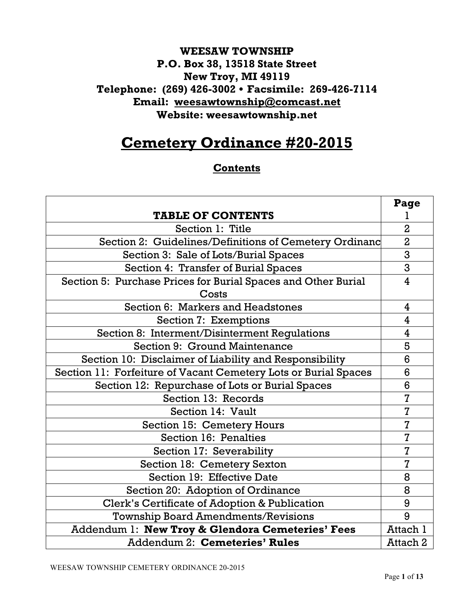# **WEESAW TOWNSHIP P.O. Box 38, 13518 State Street New Troy, MI 49119 Telephone: (269) 426-3002** ! **Facsimile: 269-426-7114 Email: weesawtownship@comcast.net Website: weesawtownship.net**

# **Cemetery Ordinance #20-2015**

## **Contents**

|                                                                 | Page           |
|-----------------------------------------------------------------|----------------|
| <b>TABLE OF CONTENTS</b>                                        |                |
| Section 1: Title                                                | $\overline{2}$ |
| Section 2: Guidelines/Definitions of Cemetery Ordinanc          | $\overline{2}$ |
| Section 3: Sale of Lots/Burial Spaces                           | 3              |
| Section 4: Transfer of Burial Spaces                            | 3              |
| Section 5: Purchase Prices for Burial Spaces and Other Burial   | 4              |
| Costs                                                           |                |
| Section 6: Markers and Headstones                               | 4              |
| <b>Section 7: Exemptions</b>                                    | 4              |
| Section 8: Interment/Disinterment Regulations                   | 4              |
| Section 9: Ground Maintenance                                   | 5              |
| Section 10: Disclaimer of Liability and Responsibility          | 6              |
| Section 11: Forfeiture of Vacant Cemetery Lots or Burial Spaces | 6              |
| Section 12: Repurchase of Lots or Burial Spaces                 | 6              |
| Section 13: Records                                             | 7              |
| Section 14: Vault                                               | $\overline{7}$ |
| <b>Section 15: Cemetery Hours</b>                               | $\overline{7}$ |
| Section 16: Penalties                                           | $\overline{7}$ |
| Section 17: Severability                                        | 7              |
| Section 18: Cemetery Sexton                                     | $\overline{7}$ |
| Section 19: Effective Date                                      | 8              |
| Section 20: Adoption of Ordinance                               | 8              |
| Clerk's Certificate of Adoption & Publication                   | 9              |
| <b>Township Board Amendments/Revisions</b>                      | 9              |
| Addendum 1: New Troy & Glendora Cemeteries' Fees                | Attach 1       |
| Addendum 2: Cemeteries' Rules                                   | Attach 2       |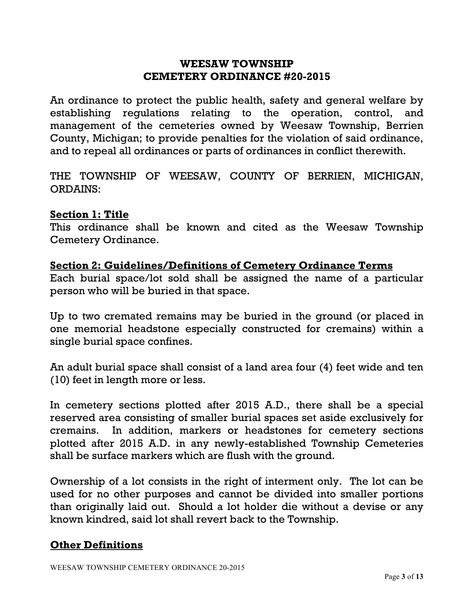#### **WEESAW TOWNSHIP CEMETERY ORDINANCE #20-2015**

An ordinance to protect the public health, safety and general welfare by establishing regulations relating to the operation, control, and management of the cemeteries owned by Weesaw Township, Berrien County, Michigan; to provide penalties for the violation of said ordinance, and to repeal all ordinances or parts of ordinances in conflict therewith.

THE TOWNSHIP OF WEESAW, COUNTY OF BERRIEN, MICHIGAN, ORDAINS:

#### **Section 1: Title**

This ordinance shall be known and cited as the Weesaw Township Cemetery Ordinance.

#### **Section 2: Guidelines/Definitions of Cemetery Ordinance Terms**

Each burial space/lot sold shall be assigned the name of a particular person who will be buried in that space.

Up to two cremated remains may be buried in the ground (or placed in one memorial headstone especially constructed for cremains) within a single burial space confines.

An adult burial space shall consist of a land area four (4) feet wide and ten (10) feet in length more or less.

In cemetery sections plotted after 2015 A.D., there shall be a special reserved area consisting of smaller burial spaces set aside exclusively for cremains. In addition, markers or headstones for cemetery sections plotted after 2015 A.D. in any newly-established Township Cemeteries shall be surface markers which are flush with the ground.

Ownership of a lot consists in the right of interment only. The lot can be used for no other purposes and cannot be divided into smaller portions than originally laid out. Should a lot holder die without a devise or any known kindred, said lot shall revert back to the Township.

## **Other Definitions**

WEESAW TOWNSHIP CEMETERY ORDINANCE 20-2015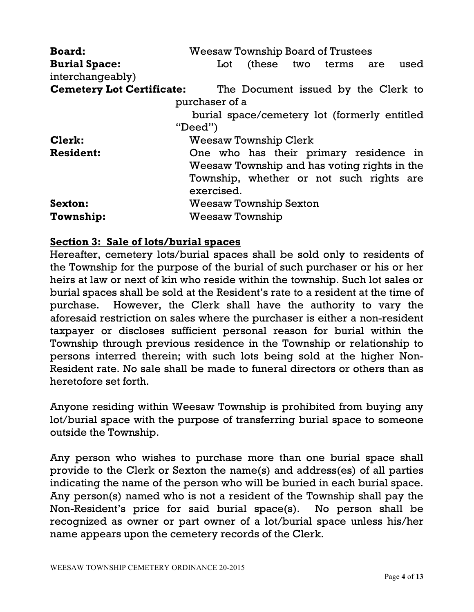| <b>Board:</b>                    | <b>Weesaw Township Board of Trustees</b>     |
|----------------------------------|----------------------------------------------|
| <b>Burial Space:</b>             | (these two terms are<br>used<br>Lot          |
| interchangeably)                 |                                              |
| <b>Cemetery Lot Certificate:</b> | The Document issued by the Clerk to          |
|                                  | purchaser of a                               |
|                                  | burial space/cemetery lot (formerly entitled |
|                                  | "Dead"                                       |
| Clerk:                           | <b>Weesaw Township Clerk</b>                 |
| <b>Resident:</b>                 | One who has their primary residence in       |
|                                  | Weesaw Township and has voting rights in the |
|                                  | Township, whether or not such rights are     |
|                                  | exercised.                                   |
| Sexton:                          | <b>Weesaw Township Sexton</b>                |
| <b>Township:</b>                 | <b>Weesaw Township</b>                       |

## **Section 3: Sale of lots/burial spaces**

Hereafter, cemetery lots/burial spaces shall be sold only to residents of the Township for the purpose of the burial of such purchaser or his or her heirs at law or next of kin who reside within the township. Such lot sales or burial spaces shall be sold at the Resident's rate to a resident at the time of purchase. However, the Clerk shall have the authority to vary the aforesaid restriction on sales where the purchaser is either a non-resident taxpayer or discloses sufficient personal reason for burial within the Township through previous residence in the Township or relationship to persons interred therein; with such lots being sold at the higher Non-Resident rate. No sale shall be made to funeral directors or others than as heretofore set forth.

Anyone residing within Weesaw Township is prohibited from buying any lot/burial space with the purpose of transferring burial space to someone outside the Township.

Any person who wishes to purchase more than one burial space shall provide to the Clerk or Sexton the name(s) and address(es) of all parties indicating the name of the person who will be buried in each burial space. Any person(s) named who is not a resident of the Township shall pay the Non-Resident's price for said burial space(s). No person shall be recognized as owner or part owner of a lot/burial space unless his/her name appears upon the cemetery records of the Clerk.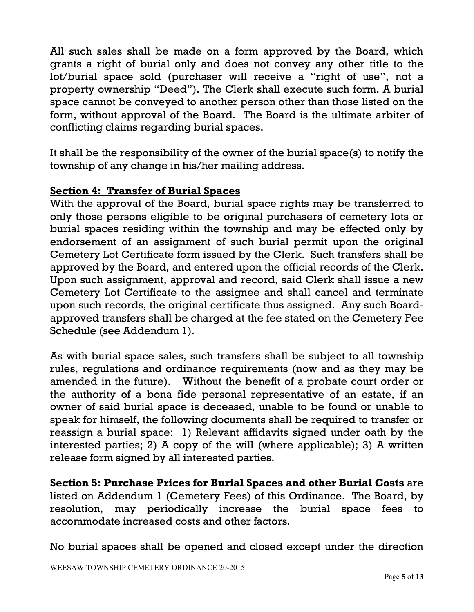All such sales shall be made on a form approved by the Board, which grants a right of burial only and does not convey any other title to the lot/burial space sold (purchaser will receive a "right of use", not a property ownership "Deed"). The Clerk shall execute such form. A burial space cannot be conveyed to another person other than those listed on the form, without approval of the Board. The Board is the ultimate arbiter of conflicting claims regarding burial spaces.

It shall be the responsibility of the owner of the burial space(s) to notify the township of any change in his/her mailing address.

## **Section 4: Transfer of Burial Spaces**

With the approval of the Board, burial space rights may be transferred to only those persons eligible to be original purchasers of cemetery lots or burial spaces residing within the township and may be effected only by endorsement of an assignment of such burial permit upon the original Cemetery Lot Certificate form issued by the Clerk. Such transfers shall be approved by the Board, and entered upon the official records of the Clerk. Upon such assignment, approval and record, said Clerk shall issue a new Cemetery Lot Certificate to the assignee and shall cancel and terminate upon such records, the original certificate thus assigned. Any such Boardapproved transfers shall be charged at the fee stated on the Cemetery Fee Schedule (see Addendum 1).

As with burial space sales, such transfers shall be subject to all township rules, regulations and ordinance requirements (now and as they may be amended in the future). Without the benefit of a probate court order or the authority of a bona fide personal representative of an estate, if an owner of said burial space is deceased, unable to be found or unable to speak for himself, the following documents shall be required to transfer or reassign a burial space: 1) Relevant affidavits signed under oath by the interested parties; 2) A copy of the will (where applicable); 3) A written release form signed by all interested parties.

**Section 5: Purchase Prices for Burial Spaces and other Burial Costs** are listed on Addendum 1 (Cemetery Fees) of this Ordinance. The Board, by resolution, may periodically increase the burial space fees to accommodate increased costs and other factors.

No burial spaces shall be opened and closed except under the direction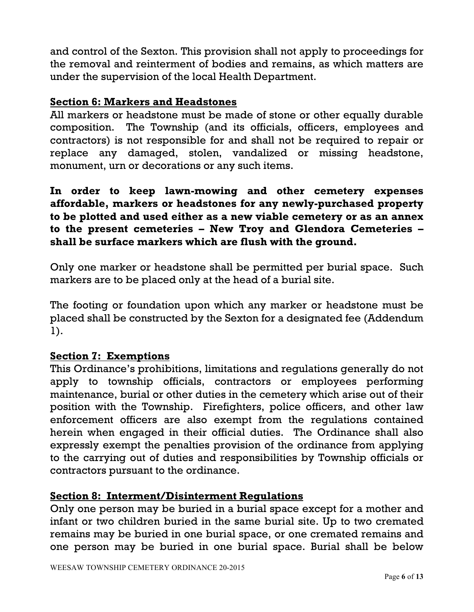and control of the Sexton. This provision shall not apply to proceedings for the removal and reinterment of bodies and remains, as which matters are under the supervision of the local Health Department.

#### **Section 6: Markers and Headstones**

All markers or headstone must be made of stone or other equally durable composition. The Township (and its officials, officers, employees and contractors) is not responsible for and shall not be required to repair or replace any damaged, stolen, vandalized or missing headstone, monument, urn or decorations or any such items.

**In order to keep lawn-mowing and other cemetery expenses affordable, markers or headstones for any newly-purchased property to be plotted and used either as a new viable cemetery or as an annex to the present cemeteries – New Troy and Glendora Cemeteries – shall be surface markers which are flush with the ground.** 

Only one marker or headstone shall be permitted per burial space. Such markers are to be placed only at the head of a burial site.

The footing or foundation upon which any marker or headstone must be placed shall be constructed by the Sexton for a designated fee (Addendum 1).

## **Section 7: Exemptions**

This Ordinance's prohibitions, limitations and regulations generally do not apply to township officials, contractors or employees performing maintenance, burial or other duties in the cemetery which arise out of their position with the Township. Firefighters, police officers, and other law enforcement officers are also exempt from the regulations contained herein when engaged in their official duties. The Ordinance shall also expressly exempt the penalties provision of the ordinance from applying to the carrying out of duties and responsibilities by Township officials or contractors pursuant to the ordinance.

## **Section 8: Interment/Disinterment Regulations**

Only one person may be buried in a burial space except for a mother and infant or two children buried in the same burial site. Up to two cremated remains may be buried in one burial space, or one cremated remains and one person may be buried in one burial space. Burial shall be below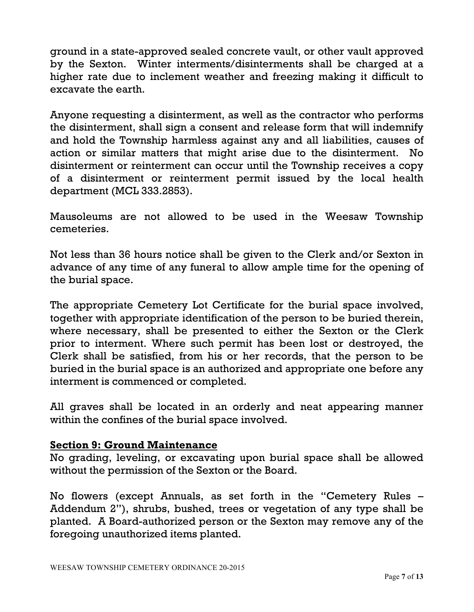ground in a state-approved sealed concrete vault, or other vault approved by the Sexton. Winter interments/disinterments shall be charged at a higher rate due to inclement weather and freezing making it difficult to excavate the earth.

Anyone requesting a disinterment, as well as the contractor who performs the disinterment, shall sign a consent and release form that will indemnify and hold the Township harmless against any and all liabilities, causes of action or similar matters that might arise due to the disinterment. No disinterment or reinterment can occur until the Township receives a copy of a disinterment or reinterment permit issued by the local health department (MCL 333.2853).

Mausoleums are not allowed to be used in the Weesaw Township cemeteries.

Not less than 36 hours notice shall be given to the Clerk and/or Sexton in advance of any time of any funeral to allow ample time for the opening of the burial space.

The appropriate Cemetery Lot Certificate for the burial space involved, together with appropriate identification of the person to be buried therein, where necessary, shall be presented to either the Sexton or the Clerk prior to interment. Where such permit has been lost or destroyed, the Clerk shall be satisfied, from his or her records, that the person to be buried in the burial space is an authorized and appropriate one before any interment is commenced or completed.

All graves shall be located in an orderly and neat appearing manner within the confines of the burial space involved.

## **Section 9: Ground Maintenance**

No grading, leveling, or excavating upon burial space shall be allowed without the permission of the Sexton or the Board.

No flowers (except Annuals, as set forth in the "Cemetery Rules – Addendum 2"), shrubs, bushed, trees or vegetation of any type shall be planted. A Board-authorized person or the Sexton may remove any of the foregoing unauthorized items planted.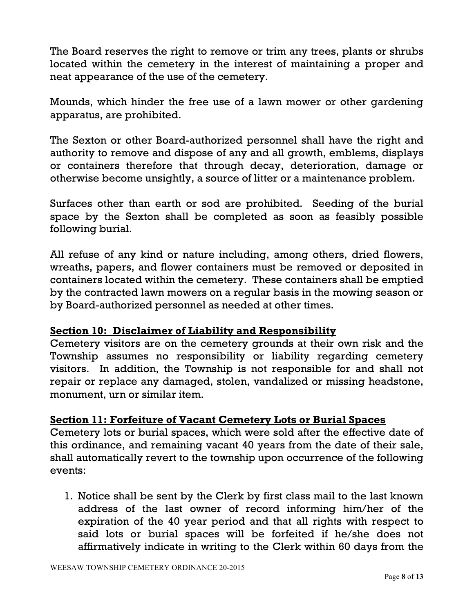The Board reserves the right to remove or trim any trees, plants or shrubs located within the cemetery in the interest of maintaining a proper and neat appearance of the use of the cemetery.

Mounds, which hinder the free use of a lawn mower or other gardening apparatus, are prohibited.

The Sexton or other Board-authorized personnel shall have the right and authority to remove and dispose of any and all growth, emblems, displays or containers therefore that through decay, deterioration, damage or otherwise become unsightly, a source of litter or a maintenance problem.

Surfaces other than earth or sod are prohibited. Seeding of the burial space by the Sexton shall be completed as soon as feasibly possible following burial.

All refuse of any kind or nature including, among others, dried flowers, wreaths, papers, and flower containers must be removed or deposited in containers located within the cemetery. These containers shall be emptied by the contracted lawn mowers on a regular basis in the mowing season or by Board-authorized personnel as needed at other times.

# **Section 10: Disclaimer of Liability and Responsibility**

Cemetery visitors are on the cemetery grounds at their own risk and the Township assumes no responsibility or liability regarding cemetery visitors. In addition, the Township is not responsible for and shall not repair or replace any damaged, stolen, vandalized or missing headstone, monument, urn or similar item.

# **Section 11: Forfeiture of Vacant Cemetery Lots or Burial Spaces**

Cemetery lots or burial spaces, which were sold after the effective date of this ordinance, and remaining vacant 40 years from the date of their sale, shall automatically revert to the township upon occurrence of the following events:

1. Notice shall be sent by the Clerk by first class mail to the last known address of the last owner of record informing him/her of the expiration of the 40 year period and that all rights with respect to said lots or burial spaces will be forfeited if he/she does not affirmatively indicate in writing to the Clerk within 60 days from the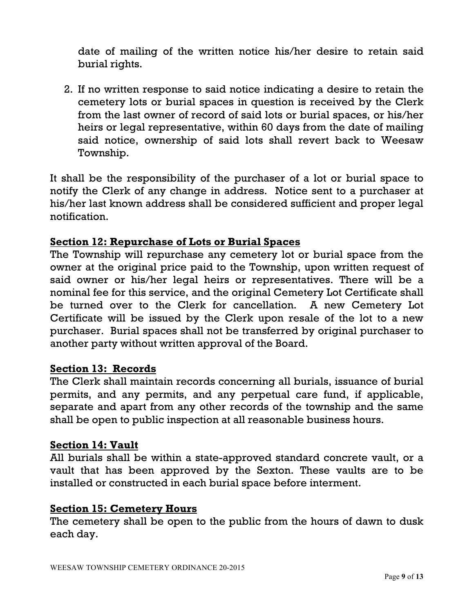date of mailing of the written notice his/her desire to retain said burial rights.

2. If no written response to said notice indicating a desire to retain the cemetery lots or burial spaces in question is received by the Clerk from the last owner of record of said lots or burial spaces, or his/her heirs or legal representative, within 60 days from the date of mailing said notice, ownership of said lots shall revert back to Weesaw Township.

It shall be the responsibility of the purchaser of a lot or burial space to notify the Clerk of any change in address. Notice sent to a purchaser at his/her last known address shall be considered sufficient and proper legal notification.

## **Section 12: Repurchase of Lots or Burial Spaces**

The Township will repurchase any cemetery lot or burial space from the owner at the original price paid to the Township, upon written request of said owner or his/her legal heirs or representatives. There will be a nominal fee for this service, and the original Cemetery Lot Certificate shall be turned over to the Clerk for cancellation. A new Cemetery Lot Certificate will be issued by the Clerk upon resale of the lot to a new purchaser. Burial spaces shall not be transferred by original purchaser to another party without written approval of the Board.

## **Section 13: Records**

The Clerk shall maintain records concerning all burials, issuance of burial permits, and any permits, and any perpetual care fund, if applicable, separate and apart from any other records of the township and the same shall be open to public inspection at all reasonable business hours.

## **Section 14: Vault**

All burials shall be within a state-approved standard concrete vault, or a vault that has been approved by the Sexton. These vaults are to be installed or constructed in each burial space before interment.

## **Section 15: Cemetery Hours**

The cemetery shall be open to the public from the hours of dawn to dusk each day.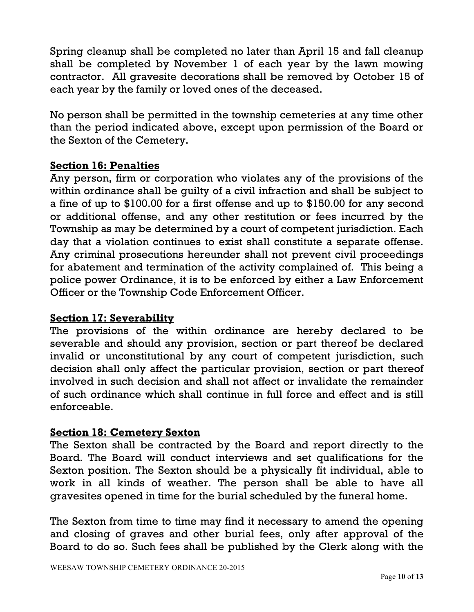Spring cleanup shall be completed no later than April 15 and fall cleanup shall be completed by November 1 of each year by the lawn mowing contractor. All gravesite decorations shall be removed by October 15 of each year by the family or loved ones of the deceased.

No person shall be permitted in the township cemeteries at any time other than the period indicated above, except upon permission of the Board or the Sexton of the Cemetery.

## **Section 16: Penalties**

Any person, firm or corporation who violates any of the provisions of the within ordinance shall be guilty of a civil infraction and shall be subject to a fine of up to \$100.00 for a first offense and up to \$150.00 for any second or additional offense, and any other restitution or fees incurred by the Township as may be determined by a court of competent jurisdiction. Each day that a violation continues to exist shall constitute a separate offense. Any criminal prosecutions hereunder shall not prevent civil proceedings for abatement and termination of the activity complained of. This being a police power Ordinance, it is to be enforced by either a Law Enforcement Officer or the Township Code Enforcement Officer.

# **Section 17: Severability**

The provisions of the within ordinance are hereby declared to be severable and should any provision, section or part thereof be declared invalid or unconstitutional by any court of competent jurisdiction, such decision shall only affect the particular provision, section or part thereof involved in such decision and shall not affect or invalidate the remainder of such ordinance which shall continue in full force and effect and is still enforceable.

## **Section 18: Cemetery Sexton**

The Sexton shall be contracted by the Board and report directly to the Board. The Board will conduct interviews and set qualifications for the Sexton position. The Sexton should be a physically fit individual, able to work in all kinds of weather. The person shall be able to have all gravesites opened in time for the burial scheduled by the funeral home.

The Sexton from time to time may find it necessary to amend the opening and closing of graves and other burial fees, only after approval of the Board to do so. Such fees shall be published by the Clerk along with the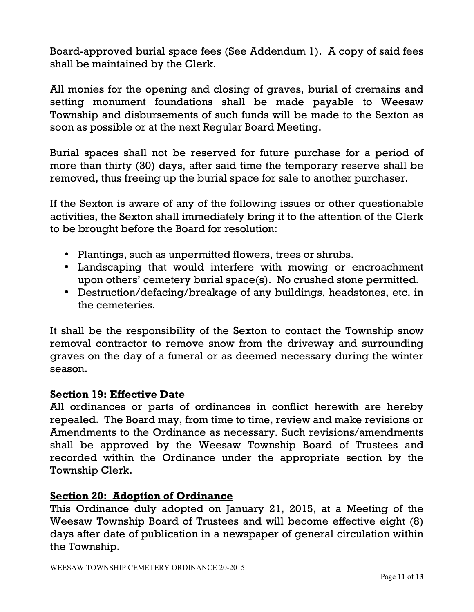Board-approved burial space fees (See Addendum 1). A copy of said fees shall be maintained by the Clerk.

All monies for the opening and closing of graves, burial of cremains and setting monument foundations shall be made payable to Weesaw Township and disbursements of such funds will be made to the Sexton as soon as possible or at the next Regular Board Meeting.

Burial spaces shall not be reserved for future purchase for a period of more than thirty (30) days, after said time the temporary reserve shall be removed, thus freeing up the burial space for sale to another purchaser.

If the Sexton is aware of any of the following issues or other questionable activities, the Sexton shall immediately bring it to the attention of the Clerk to be brought before the Board for resolution:

- Plantings, such as unpermitted flowers, trees or shrubs.
- Landscaping that would interfere with mowing or encroachment upon others' cemetery burial space(s). No crushed stone permitted.
- Destruction/defacing/breakage of any buildings, headstones, etc. in the cemeteries.

It shall be the responsibility of the Sexton to contact the Township snow removal contractor to remove snow from the driveway and surrounding graves on the day of a funeral or as deemed necessary during the winter season.

# **Section 19: Effective Date**

All ordinances or parts of ordinances in conflict herewith are hereby repealed. The Board may, from time to time, review and make revisions or Amendments to the Ordinance as necessary. Such revisions/amendments shall be approved by the Weesaw Township Board of Trustees and recorded within the Ordinance under the appropriate section by the Township Clerk.

# **Section 20: Adoption of Ordinance**

This Ordinance duly adopted on January 21, 2015, at a Meeting of the Weesaw Township Board of Trustees and will become effective eight (8) days after date of publication in a newspaper of general circulation within the Township.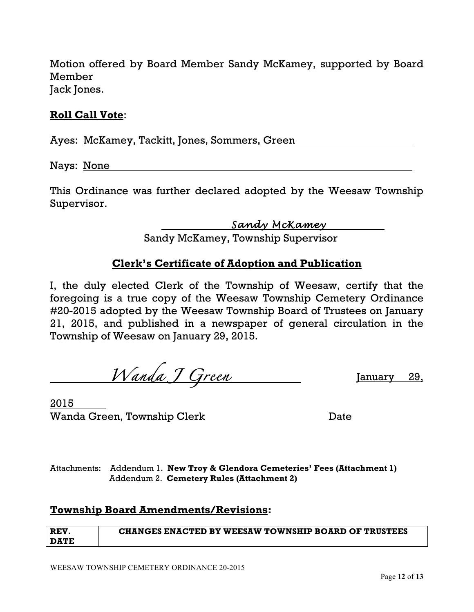Motion offered by Board Member Sandy McKamey, supported by Board Member Jack Jones.

#### **Roll Call Vote**:

Ayes: McKamey, Tackitt, Jones, Sommers, Green

Nays: None

This Ordinance was further declared adopted by the Weesaw Township Supervisor.

 *Sandy McKamey* 

Sandy McKamey, Township Supervisor

#### **Clerk's Certificate of Adoption and Publication**

I, the duly elected Clerk of the Township of Weesaw, certify that the foregoing is a true copy of the Weesaw Township Cemetery Ordinance #20-2015 adopted by the Weesaw Township Board of Trustees on January 21, 2015, and published in a newspaper of general circulation in the Township of Weesaw on January 29, 2015.

 *Wanda J Green* January 29,

2015 Wanda Green, Township Clerk **Date** Date

Attachments: Addendum 1. **New Troy & Glendora Cemeteries' Fees (Attachment 1)** Addendum 2. **Cemetery Rules (Attachment 2)**

#### **Township Board Amendments/Revisions:**

| <b>REV</b>  | <b>CHANGES ENACTED BY WEESAW TOWNSHIP BOARD OF TRUSTEES</b> |
|-------------|-------------------------------------------------------------|
| <b>DATE</b> |                                                             |

WEESAW TOWNSHIP CEMETERY ORDINANCE 20-2015